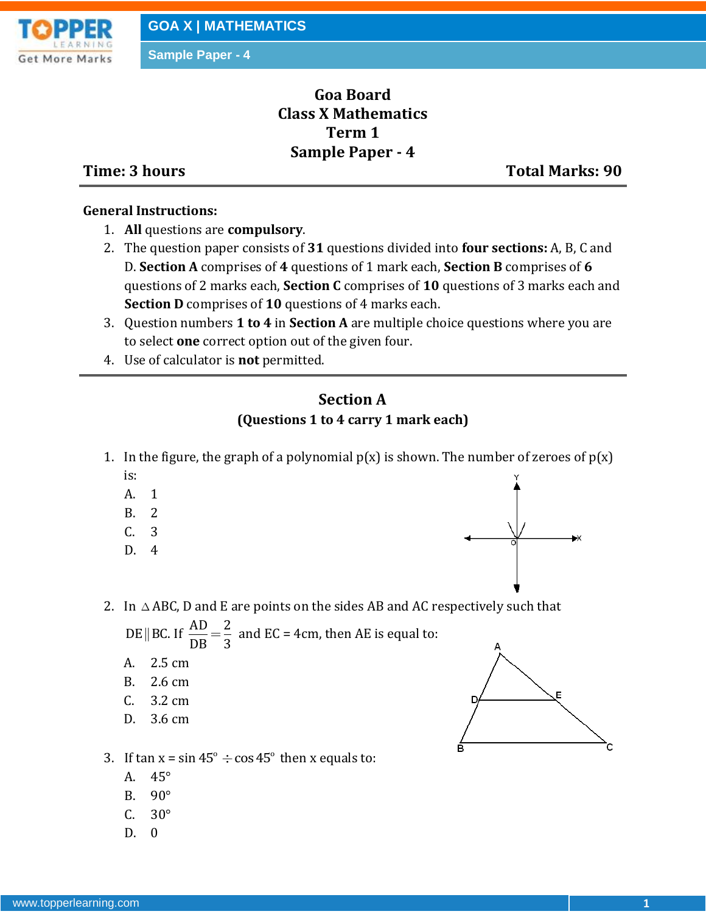

**Sample Paper - 4**

# **Goa Board Class X Mathematics Term 1 Sample Paper - 4**

**Time: 3 hours Total Marks: 90**

#### **General Instructions:**

- 1. **All** questions are **compulsory**.
- 2. The question paper consists of **31** questions divided into **four sections:** A, B, C and D. **Section A** comprises of **4** questions of 1 mark each, **Section B** comprises of **6** questions of 2 marks each, **Section C** comprises of **10** questions of 3 marks each and **Section D** comprises of **10** questions of 4 marks each.
- 3. Question numbers **1 to 4** in **Section A** are multiple choice questions where you are to select **one** correct option out of the given four.
- 4. Use of calculator is **not** permitted.

#### **Section A (Questions 1 to 4 carry 1 mark each)**

- 1. In the figure, the graph of a polynomial  $p(x)$  is shown. The number of zeroes of  $p(x)$ is:
	- A. 1
	- B. 2
	- C. 3
	- D. 4



2. In  $\triangle$  ABC, D and E are points on the sides AB and AC respectively such that DE BC. If  $\frac{AD}{DE} = \frac{2}{3}$ 

|| BC. If  $\frac{AD}{DB} = \frac{2}{3}$  and EC = 4cm, then AE is equal to:

- A. 2.5 cm
- B. 2.6 cm
- C. 3.2 cm
- D. 3.6 cm



- 3. If  $\tan x = \sin 45^\circ \div \cos 45^\circ$  then x equals to:
	- A. 45°
	- B. 90°
	- $C. 30^\circ$
	- D. 0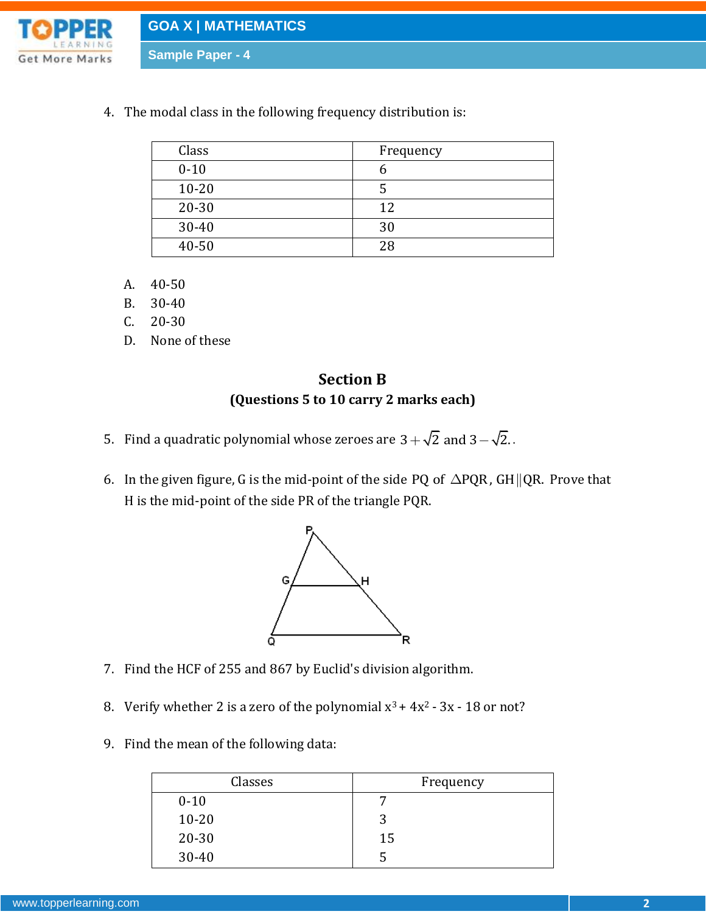

**GOA X | MATHEMATICS**

**Sample Paper - 4**

4. The modal class in the following frequency distribution is:

| Class     | Frequency |
|-----------|-----------|
| $0 - 10$  |           |
| $10 - 20$ |           |
| $20 - 30$ | 12        |
| 30-40     | 30        |
| 40-50     | 28        |

- A. 40-50
- B. 30-40
- C. 20-30
- D. None of these

### **Section B (Questions 5 to 10 carry 2 marks each)**

- 5. Find a quadratic polynomial whose zeroes are  $3+\sqrt{2}$  and  $3-\sqrt{2}.$  .
- 6. In the given figure, G is the mid-point of the side PQ of  $\Delta$ PQR, GH || QR. Prove that H is the mid-point of the side PR of the triangle PQR.



- 7. Find the HCF of 255 and 867 by Euclid's division algorithm.
- 8. Verify whether 2 is a zero of the polynomial  $x^3 + 4x^2 3x 18$  or not?
- 9. Find the mean of the following data:

| Classes   | Frequency |
|-----------|-----------|
| $0 - 10$  |           |
| $10 - 20$ | 2         |
| $20 - 30$ | 15        |
| $30 - 40$ |           |
|           |           |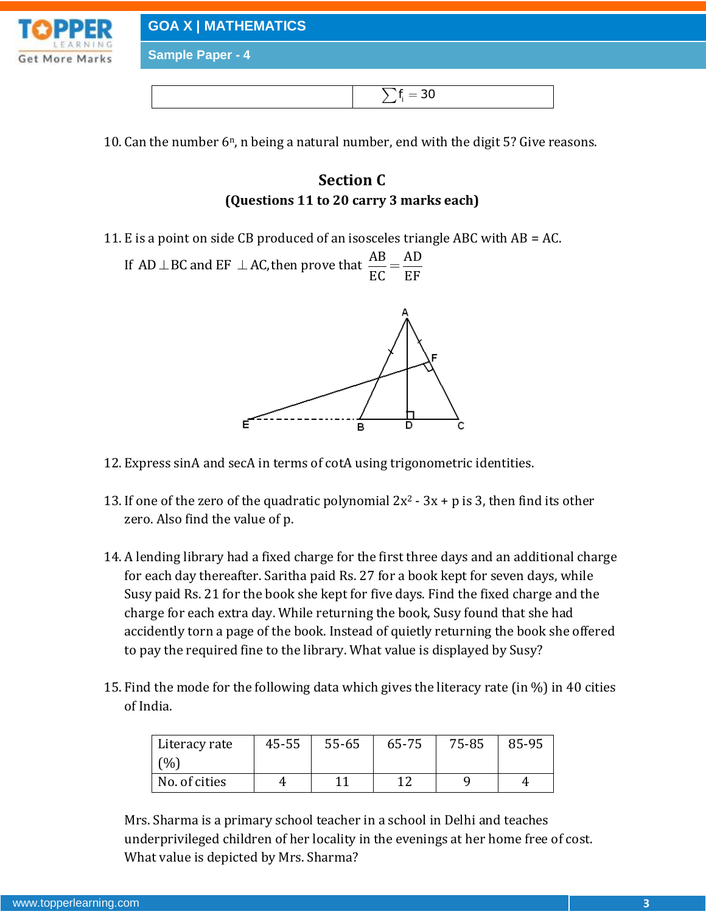

**GOA X | MATHEMATICS**

**Sample Paper - 4**

|--|--|

10. Can the number  $6^n$ , n being a natural number, end with the digit 5? Give reasons.

## **Section C (Questions 11 to 20 carry 3 marks each)**

11. E is a point on side CB produced of an isosceles triangle ABC with AB = AC.

If AD  $\perp$  BC and EF  $\perp$  AC, then prove that  $\frac{AB}{EG} = \frac{AD}{EF}$ EC EF  $=$ 



- 12. Express sinA and secA in terms of cotA using trigonometric identities.
- 13. If one of the zero of the quadratic polynomial  $2x^2 3x + p$  is 3, then find its other zero. Also find the value of p.
- 14. A lending library had a fixed charge for the first three days and an additional charge for each day thereafter. Saritha paid Rs. 27 for a book kept for seven days, while Susy paid Rs. 21 for the book she kept for five days. Find the fixed charge and the charge for each extra day. While returning the book, Susy found that she had accidently torn a page of the book. Instead of quietly returning the book she offered to pay the required fine to the library. What value is displayed by Susy?
- 15. Find the mode for the following data which gives the literacy rate (in %) in 40 cities of India.

| Literacy rate | $45 - 55$ | $55 - 65$ | 65-75 | 75-85 | 85-95 |
|---------------|-----------|-----------|-------|-------|-------|
| (% )          |           |           |       |       |       |
| No. of cities |           |           |       |       |       |

Mrs. Sharma is a primary school teacher in a school in Delhi and teaches underprivileged children of her locality in the evenings at her home free of cost. What value is depicted by Mrs. Sharma?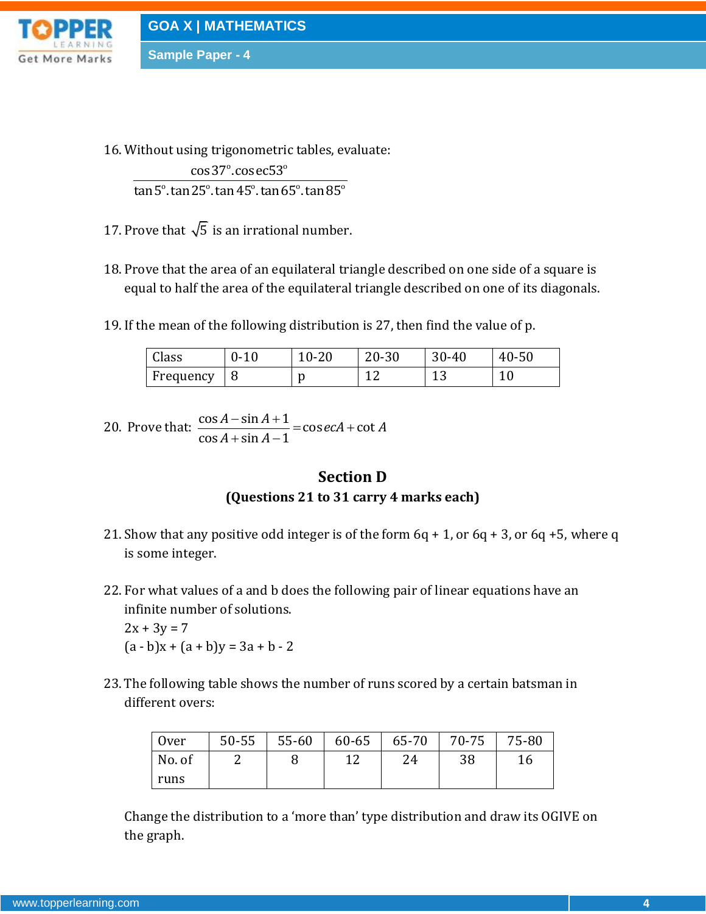

**Sample Paper - 4**

16. Without using trigonometric tables, evaluate:

gonomeu r<br>º cosec53º  $\frac{\cos 37}{\cos 65^\circ \tan 45^\circ \tan 65^\circ \tan 85^\circ}$ ing trigonometr<br><mark>cos37°.cosec53</mark>  $\frac{\cos 37^\circ.\cos \mathrm{ec}53^\circ}{\tan 5^\circ.\tan 25^\circ.\tan 45^\circ.\tan 65^\circ.\tan 85^\circ}$ 

- 17. Prove that  $\sqrt{5}$  is an irrational number.
- 18. Prove that the area of an equilateral triangle described on one side of a square is equal to half the area of the equilateral triangle described on one of its diagonals.
- 19. If the mean of the following distribution is 27, then find the value of p.

| Class     | $0 - 10$ | $\Omega$<br>10-ZU | $20 - 30$ | $30 - 40$ | 40-50          |
|-----------|----------|-------------------|-----------|-----------|----------------|
| Frequency |          |                   |           | ⊥J        | $\overline{1}$ |

20. Prove that:  $\frac{\cos A - \sin A + 1}{\cos A + \sin A + 1} = \cos ecA + \cot A$  $\frac{\cos A - \sin A + 1}{\cos A + \sin A - 1}$  $\frac{A-\sin A+1}{A+\sin A-1}$  = cos *ecA* + cot *A*  $\frac{A - \sin A}{A + \sin A}$  $\frac{-\sin A + 1}{\sin A - 1} = \csc A + \cot A$  $\frac{-\sin A + 1}{+\sin A - 1} = 0$ 

#### **Section D (Questions 21 to 31 carry 4 marks each)**

- 21. Show that any positive odd integer is of the form  $6q + 1$ , or  $6q + 3$ , or  $6q + 5$ , where q is some integer.
- 22. For what values of a and b does the following pair of linear equations have an infinite number of solutions.

 $2x + 3y = 7$  $(a - b)x + (a + b)y = 3a + b - 2$ 

23.The following table shows the number of runs scored by a certain batsman in different overs:

| 0ver   | $50 - 55$ | 55-60 | $60-65$   65-70   70-75 |    | 75-80 |
|--------|-----------|-------|-------------------------|----|-------|
| No. of |           |       | 24                      | 38 | 16    |
| runs   |           |       |                         |    |       |

Change the distribution to a 'more than' type distribution and draw its OGIVE on the graph.